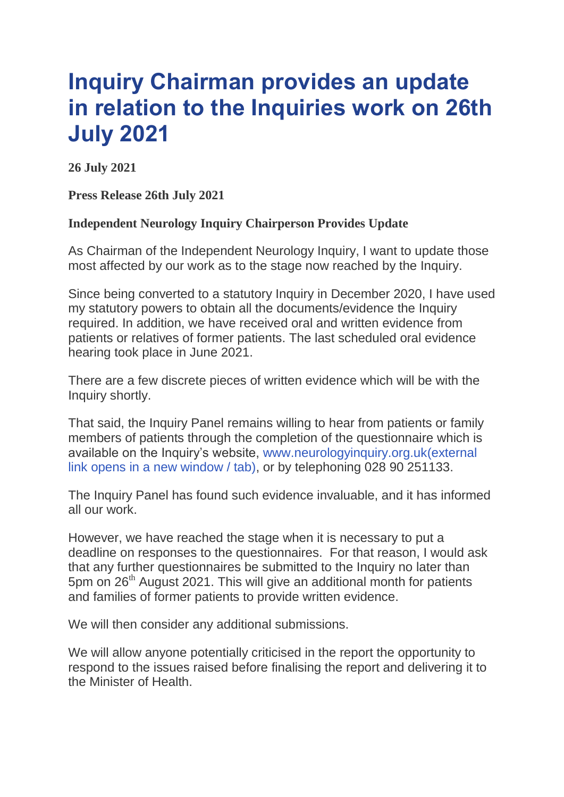## **Inquiry Chairman provides an update in relation to the Inquiries work on 26th July 2021**

**26 July 2021**

**Press Release 26th July 2021**

## **Independent Neurology Inquiry Chairperson Provides Update**

As Chairman of the Independent Neurology Inquiry, I want to update those most affected by our work as to the stage now reached by the Inquiry.

Since being converted to a statutory Inquiry in December 2020, I have used my statutory powers to obtain all the documents/evidence the Inquiry required. In addition, we have received oral and written evidence from patients or relatives of former patients. The last scheduled oral evidence hearing took place in June 2021.

There are a few discrete pieces of written evidence which will be with the Inquiry shortly.

That said, the Inquiry Panel remains willing to hear from patients or family members of patients through the completion of the questionnaire which is available on the Inquiry's website, [www.neurologyinquiry.org.uk\(external](http://www.neurologyinquiry.org.uk/) link opens in a new [window](http://www.neurologyinquiry.org.uk/) / tab), or by telephoning 028 90 251133.

The Inquiry Panel has found such evidence invaluable, and it has informed all our work.

However, we have reached the stage when it is necessary to put a deadline on responses to the questionnaires. For that reason, I would ask that any further questionnaires be submitted to the Inquiry no later than 5pm on 26<sup>th</sup> August 2021. This will give an additional month for patients and families of former patients to provide written evidence.

We will then consider any additional submissions.

We will allow anyone potentially criticised in the report the opportunity to respond to the issues raised before finalising the report and delivering it to the Minister of Health.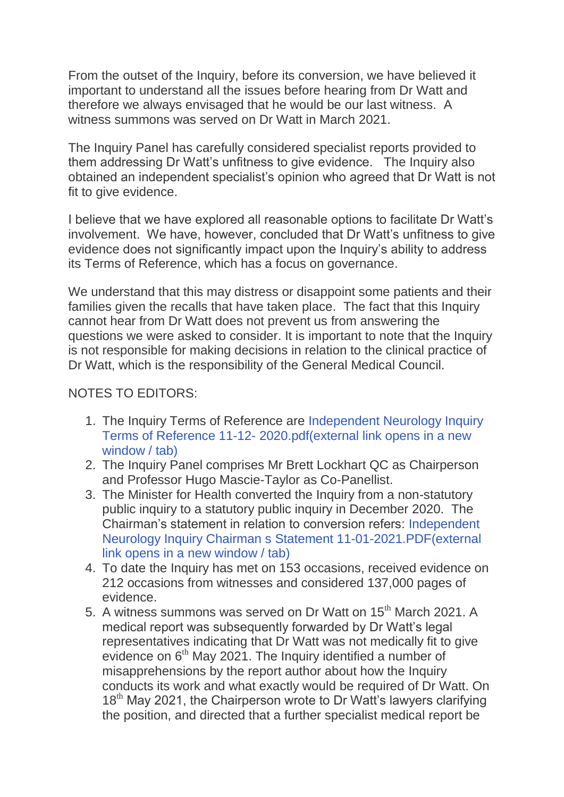From the outset of the Inquiry, before its conversion, we have believed it important to understand all the issues before hearing from Dr Watt and therefore we always envisaged that he would be our last witness. A witness summons was served on Dr Watt in March 2021.

The Inquiry Panel has carefully considered specialist reports provided to them addressing Dr Watt's unfitness to give evidence. The Inquiry also obtained an independent specialist's opinion who agreed that Dr Watt is not fit to give evidence.

I believe that we have explored all reasonable options to facilitate Dr Watt's involvement. We have, however, concluded that Dr Watt's unfitness to give evidence does not significantly impact upon the Inquiry's ability to address its Terms of Reference, which has a focus on governance.

We understand that this may distress or disappoint some patients and their families given the recalls that have taken place. The fact that this Inquiry cannot hear from Dr Watt does not prevent us from answering the questions we were asked to consider. It is important to note that the Inquiry is not responsible for making decisions in relation to the clinical practice of Dr Watt, which is the responsibility of the General Medical Council.

## NOTES TO EDITORS:

- 1. The Inquiry Terms of Reference are [Independent](https://www.neurologyinquiry.org.uk/sites/ini/files/media-files/Independent%20Neurology%20Inquiry%20Terms%20of%20Reference%2011-12-%202020.pdf) Neurology Inquiry Terms of Reference 11-12- [2020.pdf\(external](https://www.neurologyinquiry.org.uk/sites/ini/files/media-files/Independent%20Neurology%20Inquiry%20Terms%20of%20Reference%2011-12-%202020.pdf) link opens in a new [window](https://www.neurologyinquiry.org.uk/sites/ini/files/media-files/Independent%20Neurology%20Inquiry%20Terms%20of%20Reference%2011-12-%202020.pdf) / tab)
- 2. The Inquiry Panel comprises Mr Brett Lockhart QC as Chairperson and Professor Hugo Mascie-Taylor as Co-Panellist.
- 3. The Minister for Health converted the Inquiry from a non-statutory public inquiry to a statutory public inquiry in December 2020. The Chairman's statement in relation to conversion refers: [Independent](https://www.neurologyinquiry.org.uk/sites/ini/files/media-files/Independent%20Neurology%20Inquiry%20Chairman%20s%20Statement%2011-01-2021.PDF) Neurology Inquiry Chairman s Statement [11-01-2021.PDF\(external](https://www.neurologyinquiry.org.uk/sites/ini/files/media-files/Independent%20Neurology%20Inquiry%20Chairman%20s%20Statement%2011-01-2021.PDF) link opens in a new [window](https://www.neurologyinquiry.org.uk/sites/ini/files/media-files/Independent%20Neurology%20Inquiry%20Chairman%20s%20Statement%2011-01-2021.PDF) / tab)
- 4. To date the Inquiry has met on 153 occasions, received evidence on 212 occasions from witnesses and considered 137,000 pages of evidence.
- 5. A witness summons was served on Dr Watt on 15<sup>th</sup> March 2021. A medical report was subsequently forwarded by Dr Watt's legal representatives indicating that Dr Watt was not medically fit to give evidence on  $6<sup>th</sup>$  May 2021. The Inquiry identified a number of misapprehensions by the report author about how the Inquiry conducts its work and what exactly would be required of Dr Watt. On  $18<sup>th</sup>$  May 2021, the Chairperson wrote to Dr Watt's lawyers clarifying the position, and directed that a further specialist medical report be